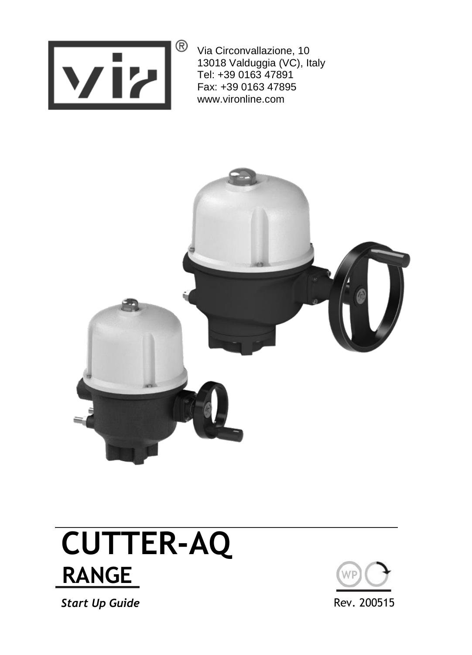

Via Circonvallazione, 10 13018 Valduggia (VC), Italy Tel: +39 0163 47891 Fax: +39 0163 47895 www.vironline.com



## **CUTTER-AQ RANGE E**

**Start Up Guide** Rev. 200515

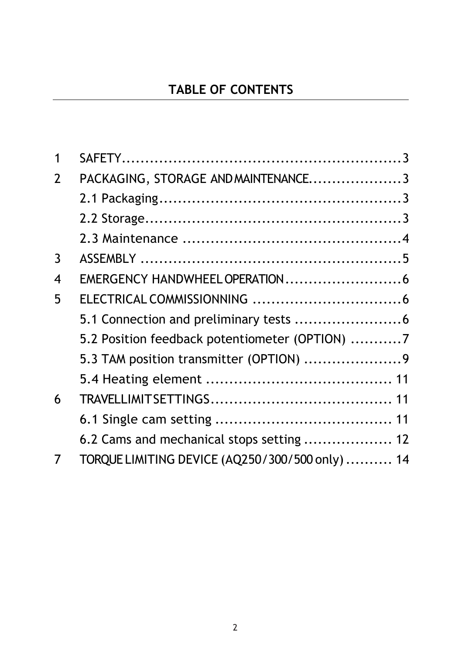#### **TABLE OF CONTENTS**

| 1 |                                                 |  |
|---|-------------------------------------------------|--|
| 2 | PACKAGING, STORAGE AND MAINTENANCE3             |  |
|   |                                                 |  |
|   |                                                 |  |
|   |                                                 |  |
| 3 |                                                 |  |
| 4 |                                                 |  |
| 5 |                                                 |  |
|   |                                                 |  |
|   | 5.2 Position feedback potentiometer (OPTION) 7  |  |
|   |                                                 |  |
|   |                                                 |  |
| 6 |                                                 |  |
|   |                                                 |  |
|   | 6.2 Cams and mechanical stops setting  12       |  |
| 7 | TORQUE LIMITING DEVICE (AQ250/300/500 only)  14 |  |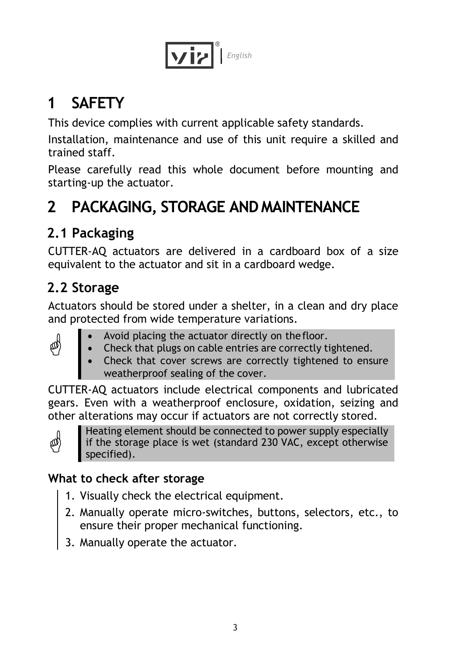

## <span id="page-2-0"></span>**1 SAFETY**

This device complies with current applicable safety standards.

Installation, maintenance and use of this unit require a skilled and trained staff.

Please carefully read this whole document before mounting and starting-up the actuator.

## <span id="page-2-1"></span>**2 PACKAGING, STORAGE AND MAINTENANCE**

## <span id="page-2-2"></span>**2.1 Packaging**

CUTTER-AQ actuators are delivered in a cardboard box of a size equivalent to the actuator and sit in a cardboard wedge.

## <span id="page-2-3"></span>**2.2 Storage**

Actuators should be stored under a shelter, in a clean and dry place and protected from wide temperature variations.

- Avoid placing the actuator directly on thefloor.
	- Check that plugs on cable entries are correctly tightened.
	- Check that cover screws are correctly tightened to ensure weatherproof sealing of the cover.

CUTTER-AQ actuators include electrical components and lubricated gears. Even with a weatherproof enclosure, oxidation, seizing and other alterations may occur if actuators are not correctly stored.



侧

Heating element should be connected to power supply especially if the storage place is wet (standard 230 VAC, except otherwise specified).

#### **What to check after storage**

- 1. Visually check the electrical equipment.
- 2. Manually operate micro-switches, buttons, selectors, etc., to ensure their proper mechanical functioning.
- 3. Manually operate the actuator.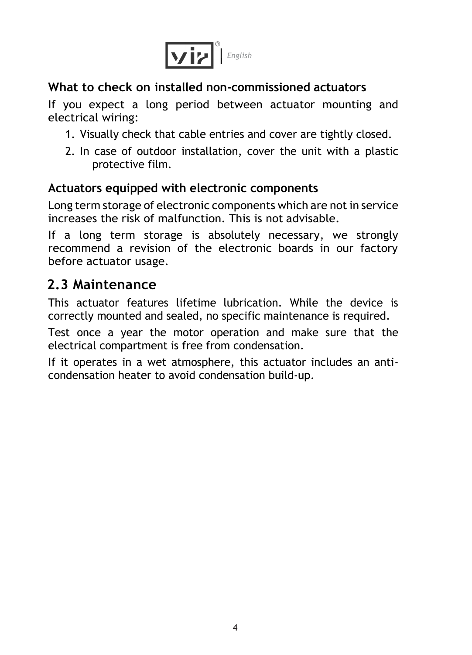

#### **What to check on installed non-commissioned actuators**

If you expect a long period between actuator mounting and electrical wiring:

- 1. Visually check that cable entries and cover are tightly closed.
- 2. In case of outdoor installation, cover the unit with a plastic protective film.

#### **Actuators equipped with electronic components**

Long term storage of electronic components which are not in service increases the risk of malfunction. This is not advisable.

If a long term storage is absolutely necessary, we strongly recommend a revision of the electronic boards in our factory before actuator usage.

#### <span id="page-3-0"></span>**2.3 Maintenance**

This actuator features lifetime lubrication. While the device is correctly mounted and sealed, no specific maintenance is required.

Test once a year the motor operation and make sure that the electrical compartment is free from condensation.

If it operates in a wet atmosphere, this actuator includes an anticondensation heater to avoid condensation build-up.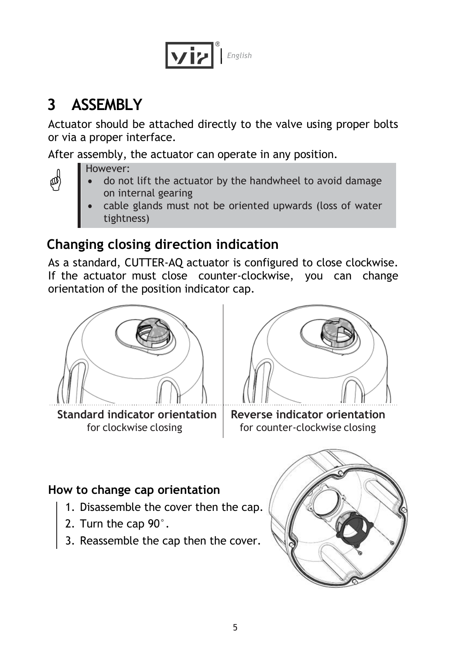

## <span id="page-4-0"></span>**3 ASSEMBLY**

Actuator should be attached directly to the valve using proper bolts or via a proper interface.

After assembly, the actuator can operate in any position.

However:

¢

- do not lift the actuator by the handwheel to avoid damage on internal gearing
- cable glands must not be oriented upwards (loss of water tightness)

## **Changing closing direction indication**

As a standard, CUTTER-AQ actuator is configured to close clockwise. If the actuator must close counter-clockwise, you can change orientation of the position indicator cap.



Standard indicator orientation Reverse indicator orientation



for clockwise closing for counter-clockwise closing

#### **How to change cap orientation**

- 1. Disassemble the cover then the cap.
- 2. Turn the cap 90°.
- 3. Reassemble the cap then the cover.

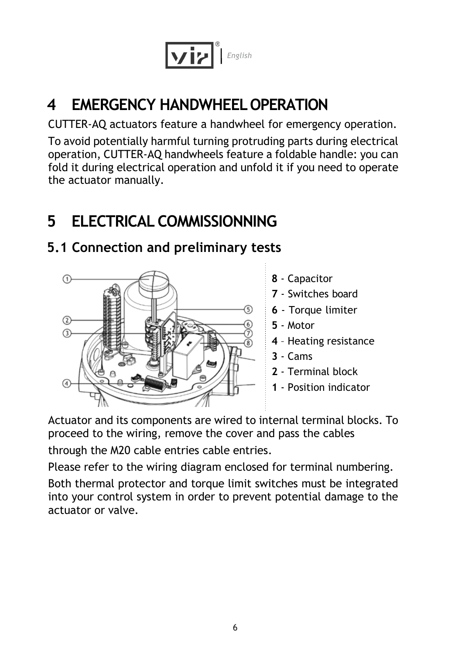

## <span id="page-5-0"></span>**4 EMERGENCY HANDWHEELOPERATION**

CUTTER-AQ actuators feature a handwheel for emergency operation.

To avoid potentially harmful turning protruding parts during electrical operation, CUTTER-AQ handwheels feature a foldable handle: you can fold it during electrical operation and unfold it if you need to operate the actuator manually.

## <span id="page-5-1"></span>**5 ELECTRICAL COMMISSIONNING**

# $\sqrt{2}$  $\Omega$

#### <span id="page-5-2"></span>**5.1 Connection and preliminary tests**

- **8**  Capacitor
- **7**  Switches board
- **6**  Torque limiter
- **5**  Motor
- **4**  Heating resistance
- **3**  Cams
- **2**  Terminal block
- **1**  Position indicator

Actuator and its components are wired to internal terminal blocks. To proceed to the wiring, remove the cover and pass the cables

through the M20 cable entries cable entries.

Please refer to the wiring diagram enclosed for terminal numbering.

Both thermal protector and torque limit switches must be integrated into your control system in order to prevent potential damage to the actuator or valve.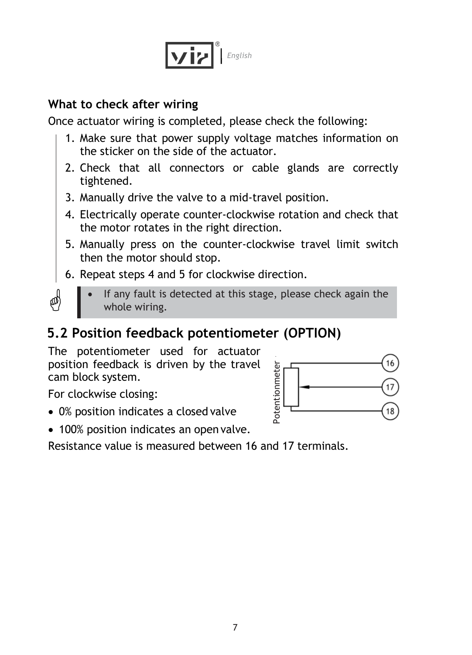

#### **What to check after wiring**

Once actuator wiring is completed, please check the following:

- 1. Make sure that power supply voltage matches information on the sticker on the side of the actuator.
- 2. Check that all connectors or cable glands are correctly tightened.
- 3. Manually drive the valve to a mid-travel position.
- 4. Electrically operate counter-clockwise rotation and check that the motor rotates in the right direction.
- 5. Manually press on the counter-clockwise travel limit switch then the motor should stop.
- 6. Repeat steps 4 and 5 for clockwise direction.
- ☝
- If any fault is detected at this stage, please check again the whole wiring.

#### <span id="page-6-0"></span>**5.2 Position feedback potentiometer (OPTION)**

The potentiometer used for actuator position feedback is driven by the travel cam block system.

For clockwise closing:

0% position indicates a closed valve



100% position indicates an open valve.

Resistance value is measured between 16 and 17 terminals.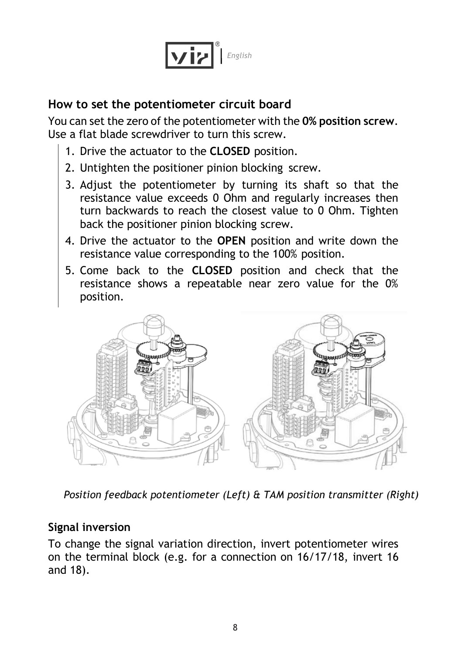

#### **How to set the potentiometer circuit board**

You can set the zero of the potentiometer with the **0% position screw**. Use a flat blade screwdriver to turn this screw.

- 1. Drive the actuator to the **CLOSED** position.
- 2. Untighten the positioner pinion blocking screw.
- 3. Adjust the potentiometer by turning its shaft so that the resistance value exceeds 0 Ohm and regularly increases then turn backwards to reach the closest value to 0 Ohm. Tighten back the positioner pinion blocking screw.
- 4. Drive the actuator to the **OPEN** position and write down the resistance value corresponding to the 100% position.
- 5. Come back to the **CLOSED** position and check that the resistance shows a repeatable near zero value for the 0% position.



*Position feedback potentiometer (Left) & TAM position transmitter (Right)*

#### **Signal inversion**

To change the signal variation direction, invert potentiometer wires on the terminal block (e.g. for a connection on 16/17/18, invert 16 and 18).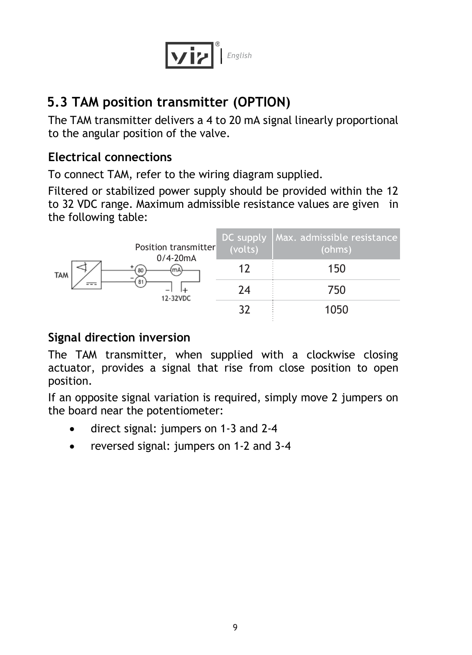

#### <span id="page-8-0"></span>**5.3 TAM position transmitter (OPTION)**

The TAM transmitter delivers a 4 to 20 mA signal linearly proportional to the angular position of the valve.

#### **Electrical connections**

To connect TAM, refer to the wiring diagram supplied.

Filtered or stabilized power supply should be provided within the 12 to 32 VDC range. Maximum admissible resistance values are given in the following table:

|            | Position transmitter<br>$0/4 - 20mA$<br>80<br>mA<br>81<br>$-\$<br>12-32VDC | DC supply<br>(volts) | Max. admissible resistance<br>(ohms) |
|------------|----------------------------------------------------------------------------|----------------------|--------------------------------------|
| <b>TAM</b> |                                                                            | 17                   | 150                                  |
|            |                                                                            | 74                   | 750                                  |
|            |                                                                            |                      | 1050                                 |

#### **Signal direction inversion**

The TAM transmitter, when supplied with a clockwise closing actuator, provides a signal that rise from close position to open position.

If an opposite signal variation is required, simply move 2 jumpers on the board near the potentiometer:

- direct signal: jumpers on 1-3 and 2-4
- reversed signal: jumpers on 1-2 and 3-4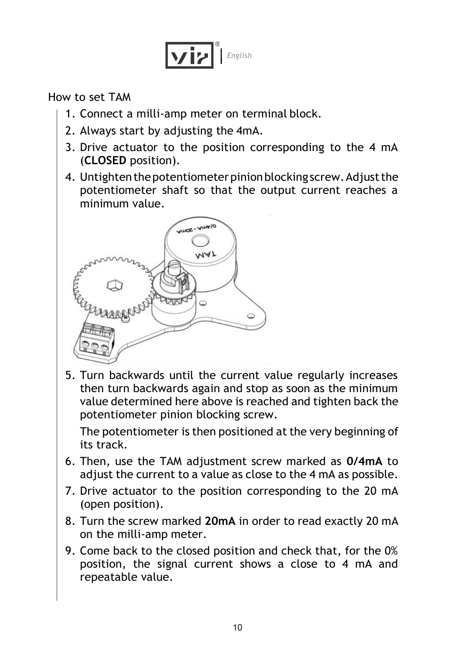

How to set TAM

- 1. Connect a milli-amp meter on terminal block.
- 2. Always start by adjusting the 4mA.
- 3. Drive actuator to the position corresponding to the 4 mA (**CLOSED** position).
- 4. Untighten the potentiometer pinion blocking screw. Adjust the potentiometer shaft so that the output current reaches a minimum value.



5. Turn backwards until the current value regularly increases then turn backwards again and stop as soon as the minimum value determined here above is reached and tighten back the potentiometer pinion blocking screw.

The potentiometer is then positioned at the very beginning of its track.

- 6. Then, use the TAM adjustment screw marked as **0/4mA** to adjust the current to a value as close to the 4 mA as possible.
- 7. Drive actuator to the position corresponding to the 20 mA (open position).
- 8. Turn the screw marked **20mA** in order to read exactly 20 mA on the milli-amp meter.
- 9. Come back to the closed position and check that, for the 0% position, the signal current shows a close to 4 mA and repeatable value.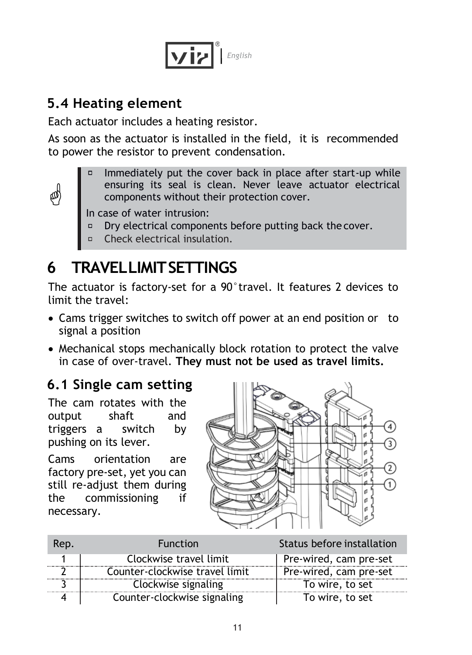

#### <span id="page-10-0"></span>**5.4 Heating element**

Each actuator includes a heating resistor.

As soon as the actuator is installed in the field, it is recommended to power the resistor to prevent condensation.



Immediately put the cover back in place after start-up while ensuring its seal is clean. Never leave actuator electrical components without their protection cover.

In case of water intrusion:

- Dry electrical components before putting back the cover.
- Check electrical insulation.

## <span id="page-10-1"></span>**6 TRAVELLIMITSETTINGS**

The actuator is factory-set for a 90°travel. It features 2 devices to limit the travel:

- Cams trigger switches to switch off power at an end position or to signal a position
- Mechanical stops mechanically block rotation to protect the valve in case of over-travel. **They must not be used as travel limits.**

#### <span id="page-10-2"></span>**6.1 Single cam setting**

The cam rotates with the output shaft and triggers a switch by pushing on its lever.

Cams orientation are factory pre-set, yet you can still re-adjust them during the commissioning if necessary.



| Rep. | <b>Function</b>                | Status before installation |
|------|--------------------------------|----------------------------|
|      | Clockwise travel limit         | Pre-wired, cam pre-set     |
|      | Counter-clockwise travel limit | Pre-wired, cam pre-set     |
|      | Clockwise signaling            | To wire, to set            |
|      | Counter-clockwise signaling    | To wire, to set            |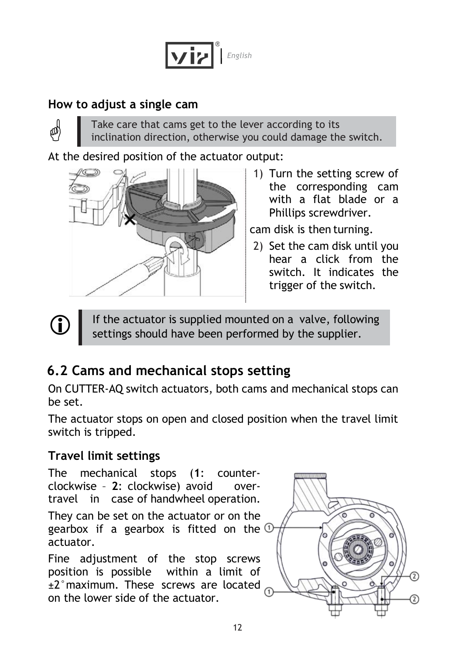

#### **How to adjust a single cam**

☝

Œ

Take care that cams get to the lever according to its inclination direction, otherwise you could damage the switch.

At the desired position of the actuator output:



1) Turn the setting screw of the corresponding cam with a flat blade or a Phillips screwdriver.

cam disk is then turning.

2) Set the cam disk until you hear a click from the switch. It indicates the trigger of the switch.

If the actuator is supplied mounted on a valve, following settings should have been performed by the supplier.

### <span id="page-11-0"></span>**6.2 Cams and mechanical stops setting**

On CUTTER-AQ switch actuators, both cams and mechanical stops can be set.

The actuator stops on open and closed position when the travel limit switch is tripped.

#### **Travel limit settings**

The mechanical stops (**1**: counterclockwise – **2**: clockwise) avoid overtravel in case of handwheel operation.

They can be set on the actuator or on the gearbox if a gearbox is fitted on the  $\overline{0}$ actuator.

Fine adjustment of the stop screws position is possible within a limit of ±2°maximum. These screws are located on the lower side of the actuator.

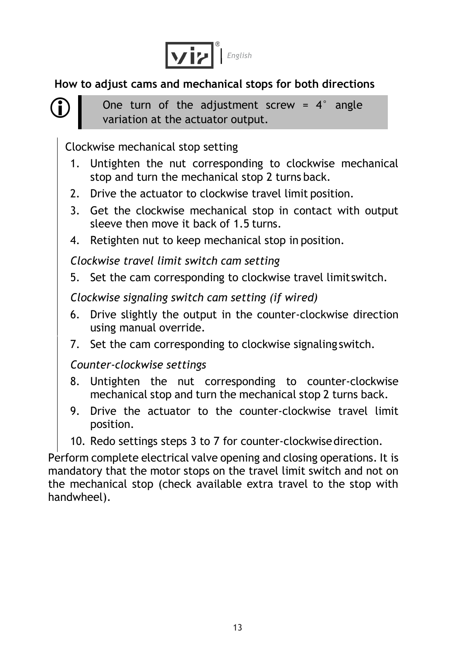

**How to adjust cams and mechanical stops for both directions**



One turn of the adjustment screw =  $4^\circ$  angle variation at the actuator output.

Clockwise mechanical stop setting

- 1. Untighten the nut corresponding to clockwise mechanical stop and turn the mechanical stop 2 turns back.
- 2. Drive the actuator to clockwise travel limit position.
- 3. Get the clockwise mechanical stop in contact with output sleeve then move it back of 1.5 turns.
- 4. Retighten nut to keep mechanical stop in position.

*Clockwise travel limit switch cam setting*

5. Set the cam corresponding to clockwise travel limitswitch.

*Clockwise signaling switch cam setting (if wired)*

- 6. Drive slightly the output in the counter-clockwise direction using manual override.
- 7. Set the cam corresponding to clockwise signaling switch.

*Counter-clockwise settings*

- 8. Untighten the nut corresponding to counter-clockwise mechanical stop and turn the mechanical stop 2 turns back.
- 9. Drive the actuator to the counter-clockwise travel limit position.
- 10. Redo settings steps 3 to 7 for counter-clockwisedirection.

Perform complete electrical valve opening and closing operations. It is mandatory that the motor stops on the travel limit switch and not on the mechanical stop (check available extra travel to the stop with handwheel).